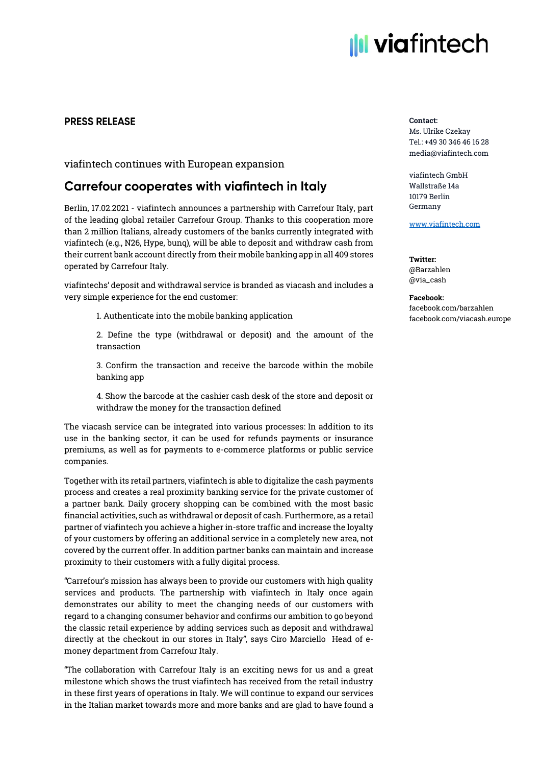# **Ill viafintech**

## **PRESS RELEASE**

viafintech continues with European expansion

# **Carrefour cooperates with viafintech in Italy**

Berlin, 17.02.2021 - viafintech announces a partnership with Carrefour Italy, part of the leading global retailer Carrefour Group. Thanks to this cooperation more than 2 million Italians, already customers of the banks currently integrated with viafintech (e.g., N26, Hype, bunq), will be able to deposit and withdraw cash from their current bank account directly from their mobile banking app in all 409 stores operated by Carrefour Italy.

viafintechs' deposit and withdrawal service is branded as viacash and includes a very simple experience for the end customer:

1. Authenticate into the mobile banking application

2. Define the type (withdrawal or deposit) and the amount of the transaction

3. Confirm the transaction and receive the barcode within the mobile banking app

4. Show the barcode at the cashier cash desk of the store and deposit or withdraw the money for the transaction defined

The viacash service can be integrated into various processes: In addition to its use in the banking sector, it can be used for refunds payments or insurance premiums, as well as for payments to e-commerce platforms or public service companies.

Together with its retail partners, viafintech is able to digitalize the cash payments process and creates a real proximity banking service for the private customer of a partner bank. Daily grocery shopping can be combined with the most basic financial activities, such as withdrawal or deposit of cash. Furthermore, as a retail partner of viafintech you achieve a higher in-store traffic and increase the loyalty of your customers by offering an additional service in a completely new area, not covered by the current offer. In addition partner banks can maintain and increase proximity to their customers with a fully digital process.

"Carrefour's mission has always been to provide our customers with high quality services and products. The partnership with viafintech in Italy once again demonstrates our ability to meet the changing needs of our customers with regard to a changing consumer behavior and confirms our ambition to go beyond the classic retail experience by adding services such as deposit and withdrawal directly at the checkout in our stores in Italy", says Ciro Marciello Head of emoney department from Carrefour Italy.

"The collaboration with Carrefour Italy is an exciting news for us and a great milestone which shows the trust viafintech has received from the retail industry in these first years of operations in Italy. We will continue to expand our services in the Italian market towards more and more banks and are glad to have found a

#### Contact:

Ms. Ulrike Czekay Tel.: +49 30 346 46 16 28 media@viafintech.com

viafintech GmbH Wallstraße 14a 10179 Berlin Germany

[www.viafintech.com](http://www.viafintech.com/)

Twitter: @Barzahlen @via\_cash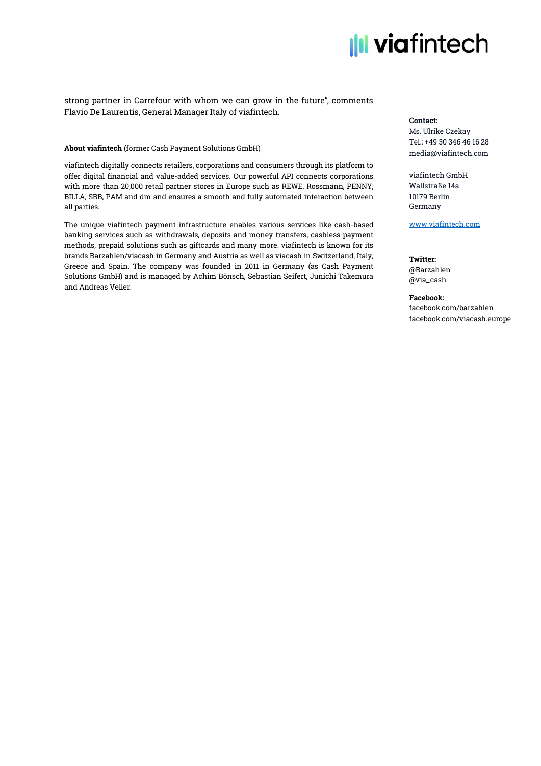

### strong partner in Carrefour with whom we can grow in the future", comments Flavio De Laurentis, General Manager Italy of viafintech.

#### About viafintech (former Cash Payment Solutions GmbH)

viafintech digitally connects retailers, corporations and consumers through its platform to offer digital financial and value-added services. Our powerful API connects corporations with more than 20,000 retail partner stores in Europe such as REWE, Rossmann, PENNY, BILLA, SBB, PAM and dm and ensures a smooth and fully automated interaction between all parties.

The unique viafintech payment infrastructure enables various services like cash-based banking services such as withdrawals, deposits and money transfers, cashless payment methods, prepaid solutions such as giftcards and many more. viafintech is known for its brands Barzahlen/viacash in Germany and Austria as well as viacash in Switzerland, Italy, Greece and Spain. The company was founded in 2011 in Germany (as Cash Payment Solutions GmbH) and is managed by Achim Bönsch, Sebastian Seifert, Junichi Takemura and Andreas Veller.

#### Contact:

Ms. Ulrike Czekay Tel.: +49 30 346 46 16 28 media@viafintech.com

viafintech GmbH Wallstraße 14a 10179 Berlin Germany

[www.viafintech.com](http://www.viafintech.com/)

Twitter: @Barzahlen @via\_cash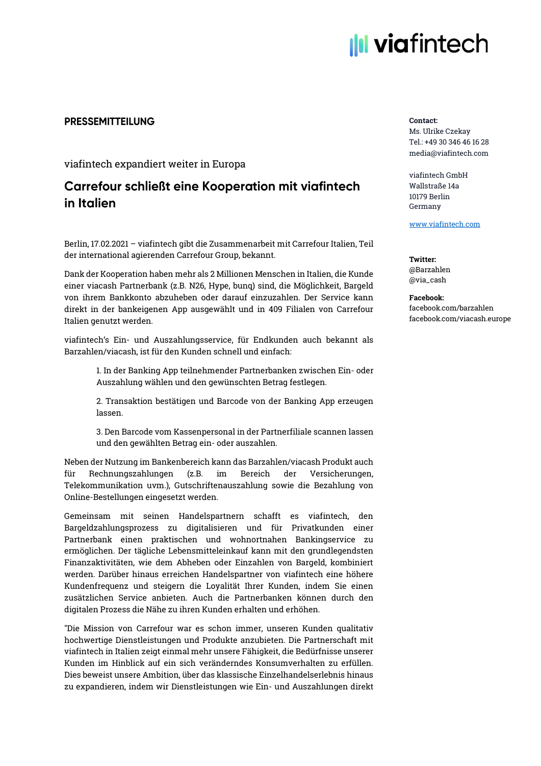

## **PRESSEMITTEILUNG**

viafintech expandiert weiter in Europa

# **Carrefour schließt eine Kooperation mit viafintech** in Italien

Berlin, 17.02.2021 – viafintech gibt die Zusammenarbeit mit Carrefour Italien, Teil der international agierenden Carrefour Group, bekannt.

Dank der Kooperation haben mehr als 2 Millionen Menschen in Italien, die Kunde einer viacash Partnerbank (z.B. N26, Hype, bunq) sind, die Möglichkeit, Bargeld von ihrem Bankkonto abzuheben oder darauf einzuzahlen. Der Service kann direkt in der bankeigenen App ausgewählt und in 409 Filialen von Carrefour Italien genutzt werden.

viafintech's Ein- und Auszahlungsservice, für Endkunden auch bekannt als Barzahlen/viacash, ist für den Kunden schnell und einfach:

> 1. In der Banking App teilnehmender Partnerbanken zwischen Ein- oder Auszahlung wählen und den gewünschten Betrag festlegen.

> 2. Transaktion bestätigen und Barcode von der Banking App erzeugen lassen.

> 3. Den Barcode vom Kassenpersonal in der Partnerfiliale scannen lassen und den gewählten Betrag ein- oder auszahlen.

Neben der Nutzung im Bankenbereich kann das Barzahlen/viacash Produkt auch für Rechnungszahlungen (z.B. im Bereich der Versicherungen, Telekommunikation uvm.), Gutschriftenauszahlung sowie die Bezahlung von Online-Bestellungen eingesetzt werden.

Gemeinsam mit seinen Handelspartnern schafft es viafintech, den Bargeldzahlungsprozess zu digitalisieren und für Privatkunden einer Partnerbank einen praktischen und wohnortnahen Bankingservice zu ermöglichen. Der tägliche Lebensmitteleinkauf kann mit den grundlegendsten Finanzaktivitäten, wie dem Abheben oder Einzahlen von Bargeld, kombiniert werden. Darüber hinaus erreichen Handelspartner von viafintech eine höhere Kundenfrequenz und steigern die Loyalität Ihrer Kunden, indem Sie einen zusätzlichen Service anbieten. Auch die Partnerbanken können durch den digitalen Prozess die Nähe zu ihren Kunden erhalten und erhöhen.

"Die Mission von Carrefour war es schon immer, unseren Kunden qualitativ hochwertige Dienstleistungen und Produkte anzubieten. Die Partnerschaft mit viafintech in Italien zeigt einmal mehr unsere Fähigkeit, die Bedürfnisse unserer Kunden im Hinblick auf ein sich veränderndes Konsumverhalten zu erfüllen. Dies beweist unsere Ambition, über das klassische Einzelhandelserlebnis hinaus zu expandieren, indem wir Dienstleistungen wie Ein- und Auszahlungen direkt

#### Contact:

Ms. Ulrike Czekay Tel.: +49 30 346 46 16 28 media@viafintech.com

viafintech GmbH Wallstraße 14a 10179 Berlin Germany

[www.viafintech.com](http://www.viafintech.com/)

Twitter: @Barzahlen @via\_cash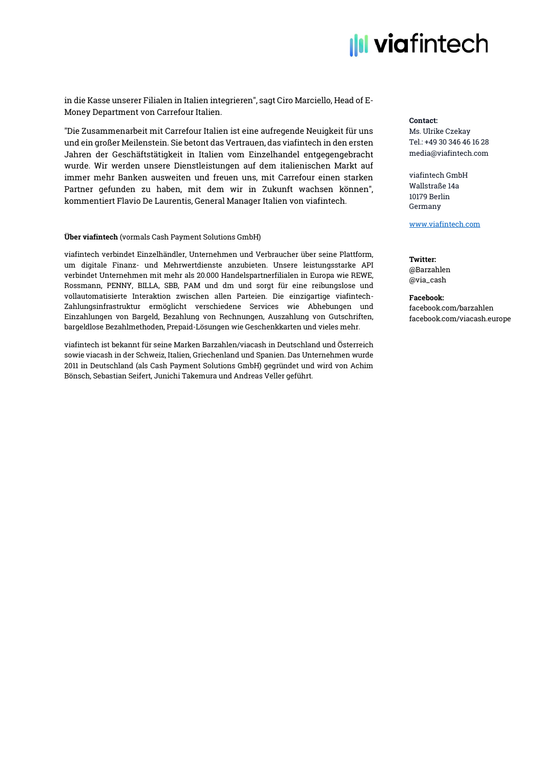

in die Kasse unserer Filialen in Italien integrieren", sagt Ciro Marciello, Head of E-Money Department von Carrefour Italien.

"Die Zusammenarbeit mit Carrefour Italien ist eine aufregende Neuigkeit für uns und ein großer Meilenstein. Sie betont das Vertrauen, das viafintech in den ersten Jahren der Geschäftstätigkeit in Italien vom Einzelhandel entgegengebracht wurde. Wir werden unsere Dienstleistungen auf dem italienischen Markt auf immer mehr Banken ausweiten und freuen uns, mit Carrefour einen starken Partner gefunden zu haben, mit dem wir in Zukunft wachsen können", kommentiert Flavio De Laurentis, General Manager Italien von viafintech.

#### Über viafintech (vormals Cash Payment Solutions GmbH)

viafintech verbindet Einzelhändler, Unternehmen und Verbraucher über seine Plattform, um digitale Finanz- und Mehrwertdienste anzubieten. Unsere leistungsstarke API verbindet Unternehmen mit mehr als 20.000 Handelspartnerfilialen in Europa wie REWE, Rossmann, PENNY, BILLA, SBB, PAM und dm und sorgt für eine reibungslose und vollautomatisierte Interaktion zwischen allen Parteien. Die einzigartige viafintech-Zahlungsinfrastruktur ermöglicht verschiedene Services wie Abhebungen und Einzahlungen von Bargeld, Bezahlung von Rechnungen, Auszahlung von Gutschriften, bargeldlose Bezahlmethoden, Prepaid-Lösungen wie Geschenkkarten und vieles mehr.

viafintech ist bekannt für seine Marken Barzahlen/viacash in Deutschland und Österreich sowie viacash in der Schweiz, Italien, Griechenland und Spanien. Das Unternehmen wurde 2011 in Deutschland (als Cash Payment Solutions GmbH) gegründet und wird von Achim Bönsch, Sebastian Seifert, Junichi Takemura und Andreas Veller geführt.

#### Contact:

Ms. Ulrike Czekay Tel.: +49 30 346 46 16 28 media@viafintech.com

viafintech GmbH Wallstraße 14a 10179 Berlin Germany

[www.viafintech.com](http://www.viafintech.com/)

Twitter: @Barzahlen @via\_cash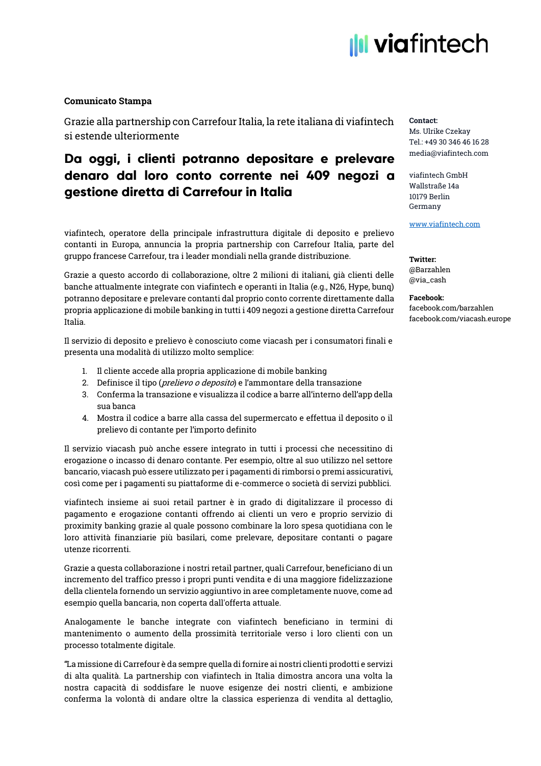# **Ill viafintech**

## Comunicato Stampa

Grazie alla partnership con Carrefour Italia, la rete italiana di viafintech si estende ulteriormente

# Da oggi, i clienti potranno depositare e prelevare denaro dal loro conto corrente nei 409 negozi a gestione diretta di Carrefour in Italia

viafintech, operatore della principale infrastruttura digitale di deposito e prelievo contanti in Europa, annuncia la propria partnership con Carrefour Italia, parte del gruppo francese Carrefour, tra i leader mondiali nella grande distribuzione.

Grazie a questo accordo di collaborazione, oltre 2 milioni di italiani, già clienti delle banche attualmente integrate con viafintech e operanti in Italia (e.g., N26, Hype, bunq) potranno depositare e prelevare contanti dal proprio conto corrente direttamente dalla propria applicazione di mobile banking in tutti i 409 negozi a gestione diretta Carrefour Italia.

Il servizio di deposito e prelievo è conosciuto come viacash per i consumatori finali e presenta una modalità di utilizzo molto semplice:

- 1. Il cliente accede alla propria applicazione di mobile banking
- 2. Definisce il tipo (*prelievo o deposito*) e l'ammontare della transazione
- 3. Conferma la transazione e visualizza il codice a barre all'interno dell'app della sua banca
- 4. Mostra il codice a barre alla cassa del supermercato e effettua il deposito o il prelievo di contante per l'importo definito

Il servizio viacash può anche essere integrato in tutti i processi che necessitino di erogazione o incasso di denaro contante. Per esempio, oltre al suo utilizzo nel settore bancario, viacash può essere utilizzato per i pagamenti di rimborsi o premi assicurativi, così come per i pagamenti su piattaforme di e-commerce o società di servizi pubblici.

viafintech insieme ai suoi retail partner è in grado di digitalizzare il processo di pagamento e erogazione contanti offrendo ai clienti un vero e proprio servizio di proximity banking grazie al quale possono combinare la loro spesa quotidiana con le loro attività finanziarie più basilari, come prelevare, depositare contanti o pagare utenze ricorrenti.

Grazie a questa collaborazione i nostri retail partner, quali Carrefour, beneficiano di un incremento del traffico presso i propri punti vendita e di una maggiore fidelizzazione della clientela fornendo un servizio aggiuntivo in aree completamente nuove, come ad esempio quella bancaria, non coperta dall'offerta attuale.

Analogamente le banche integrate con viafintech beneficiano in termini di mantenimento o aumento della prossimità territoriale verso i loro clienti con un processo totalmente digitale.

"La missione di Carrefour è da sempre quella di fornire ai nostri clienti prodotti e servizi di alta qualità. La partnership con viafintech in Italia dimostra ancora una volta la nostra capacità di soddisfare le nuove esigenze dei nostri clienti, e ambizione conferma la volontà di andare oltre la classica esperienza di vendita al dettaglio,

### Contact:

Ms. Ulrike Czekay Tel.: +49 30 346 46 16 28 media@viafintech.com

viafintech GmbH Wallstraße 14a 10179 Berlin Germany

[www.viafintech.com](http://www.viafintech.com/)

Twitter: @Barzahlen @via\_cash